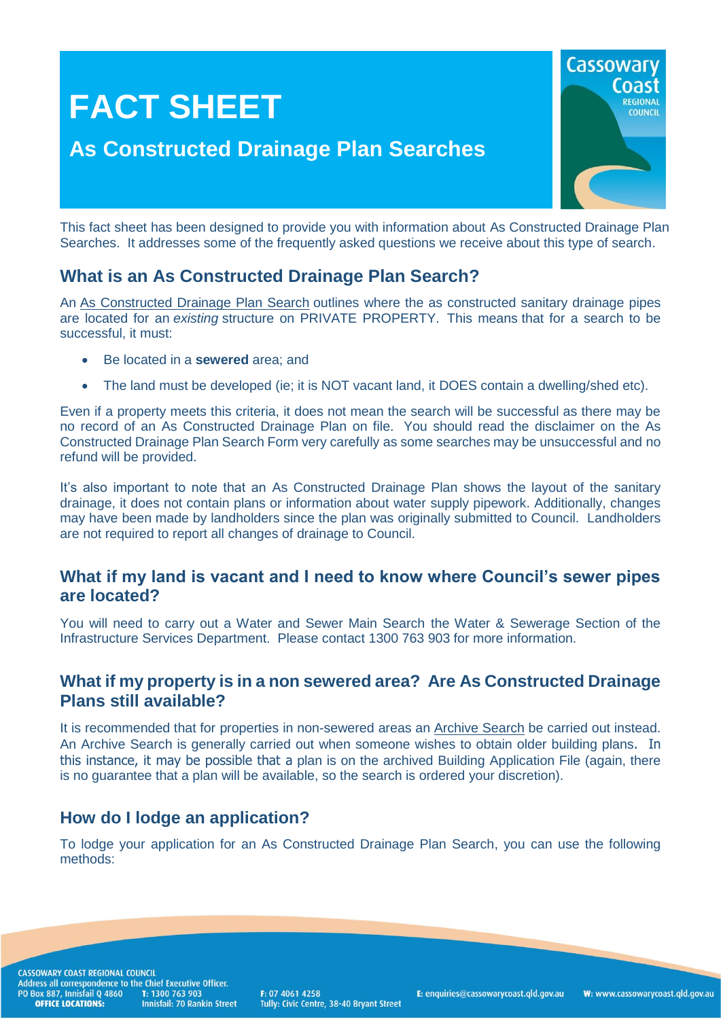

This fact sheet has been designed to provide you with information about As Constructed Drainage Plan Searches. It addresses some of the frequently asked questions we receive about this type of search.

# **What is an As Constructed Drainage Plan Search?**

An [As Constructed Drainage Plan Search](http://www.cassowarycoast.qld.gov.au/documents/1422210/3759637/As%20Constructed%20Drainage%20Plan%20Search%20Request%20Form%202017-2018.pdf) outlines where the as constructed sanitary drainage pipes are located for an *existing* structure on PRIVATE PROPERTY.This means that for a search to be successful, it must:

- Be located in a **sewered** area; and
- The land must be developed (ie; it is NOT vacant land, it DOES contain a dwelling/shed etc).

Even if a property meets this criteria, it does not mean the search will be successful as there may be no record of an As Constructed Drainage Plan on file. You should read the disclaimer on the As Constructed Drainage Plan Search Form very carefully as some searches may be unsuccessful and no refund will be provided.

It's also important to note that an As Constructed Drainage Plan shows the layout of the sanitary drainage, it does not contain plans or information about water supply pipework. Additionally, changes may have been made by landholders since the plan was originally submitted to Council. Landholders are not required to report all changes of drainage to Council.

### **What if my land is vacant and I need to know where Council's sewer pipes are located?**

You will need to carry out a Water and Sewer Main Search the Water & Sewerage Section of the Infrastructure Services Department. Please contact 1300 763 903 for more information.

### **What if my property is in a non sewered area? Are As Constructed Drainage Plans still available?**

It is recommended that for properties in non-sewered areas an [Archive Search](http://www.cassowarycoast.qld.gov.au/documents/1422210/42234566/Forms%20-%20Archive%20Search%20Request%20-%202017-2018.pdf) be carried out instead. An Archive Search is generally carried out when someone wishes to obtain older building plans. In this instance, it may be possible that a plan is on the archived Building Application File (again, there is no guarantee that a plan will be available, so the search is ordered your discretion).

# **How do I lodge an application?**

To lodge your application for an As Constructed Drainage Plan Search, you can use the following methods:

CASSOWARY COAST REGIONAL COUNCIL CASSOWART CONSTRUCTED IN CHINE EXECUTIVE OF<br>Address all correspondence to the Chief Executive Officer.<br>PO Box 887, Innisfail Q 4860 T: 1300 763 903<br>**OFFICE LOCATIONS:** Innisfail: 70 Rankin Stree Innisfail: 70 Rankin Street

F: 07 4061 4258 Tully: Civic Centre, 38-40 Bryant Street E: enquiries@cassowarycoast.qld.gov.au

W: www.cassowarycoast.qld.gov.au